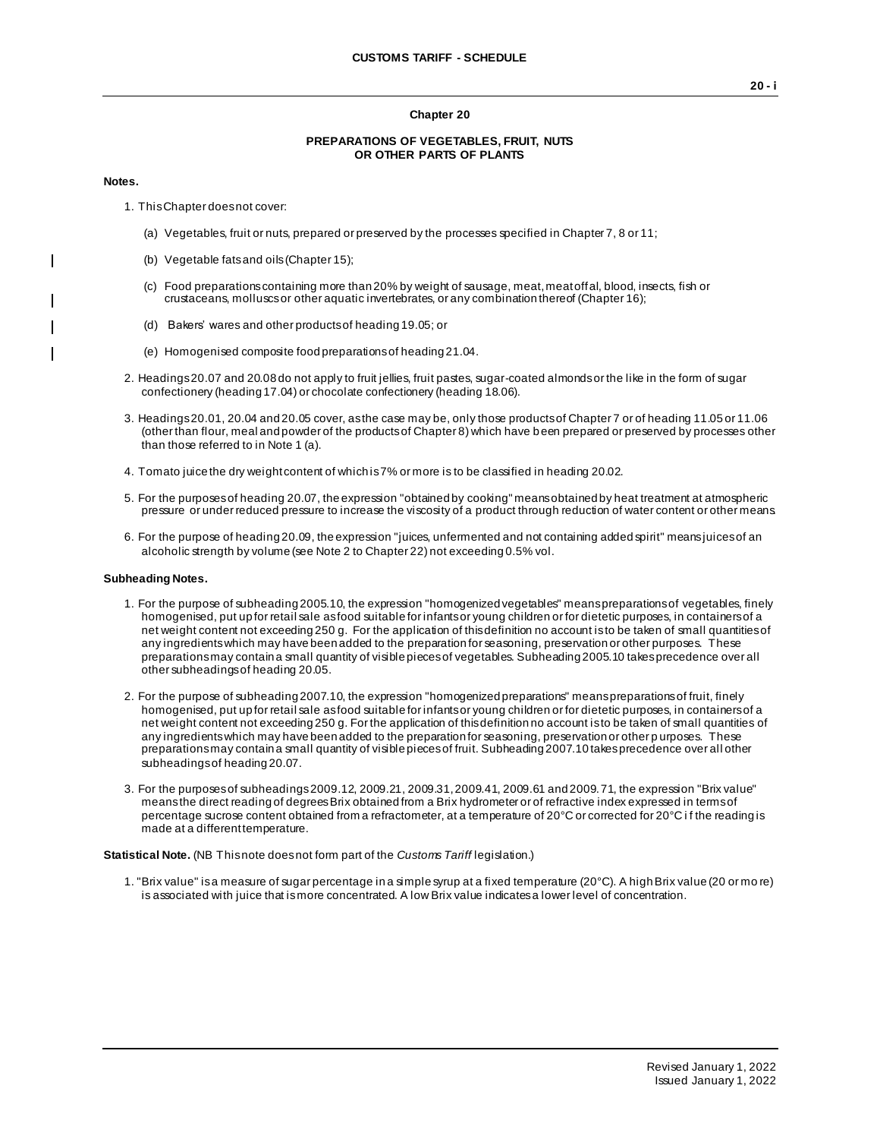### **Chapter 20**

#### **PREPARATIONS OF VEGETABLES, FRUIT, NUTS OR OTHER PARTS OF PLANTS**

#### **Notes.**

 $\mathbf{I}$ 

- 1. This Chapter does not cover:
	- (a) Vegetables, fruit or nuts, prepared or preserved by the processes specified in Chapter 7, 8 or 11;
	- (b) Vegetable fats and oils (Chapter 15);
	- (c) Food preparations containing more than 20% by weight of sausage, meat, meat offal, blood, insects, fish or crustaceans, molluscs or other aquatic invertebrates, or any combination thereof (Chapter 16);
	- (d) Bakers' wares and other products of heading 19.05; or
	- (e) Homogenised composite food preparations of heading 21.04.
- 2. Headings 20.07 and 20.08 do not apply to fruit jellies, fruit pastes, sugar-coated almonds or the like in the form of sugar confectionery (heading 17.04) or chocolate confectionery (heading 18.06).
- 3. Headings 20.01, 20.04 and 20.05 cover, as the case may be, only those products of Chapter 7 or of heading 11.05 or 11.06 (other than flour, meal and powder of the products of Chapter 8) which have been prepared or preserved by processes other than those referred to in Note 1 (a).
- 4. Tomato juice the dry weight content of which is 7% or more is to be classified in heading 20.02.
- 5. For the purposes of heading 20.07, the expression "obtained by cooking" means obtained by heat treatment at atmospheric pressure or under reduced pressure to increase the viscosity of a product through reduction of water content or other means.
- 6. For the purpose of heading 20.09, the expression "juices, unfermented and not containing added spirit" means juices of an alcoholic strength by volume (see Note 2 to Chapter 22) not exceeding 0.5% vol.

## **Subheading Notes.**

- 1. For the purpose of subheading 2005.10, the expression "homogenized vegetables" means preparations of vegetables, finely homogenised, put up for retail sale as food suitable for infants or young children or for dietetic purposes, in containers of a net weight content not exceeding 250 g. For the application of this definition no account is to be taken of small quantities of any ingredients which may have been added to the preparation for seasoning, preservation or other purposes. These preparations may contain a small quantity of visible pieces of vegetables. Subheading 2005.10 takes precedence over all other subheadings of heading 20.05.
- 2. For the purpose of subheading 2007.10, the expression "homogenized preparations" means preparations of fruit, finely homogenised, put up for retail sale as food suitable for infants or young children or for dietetic purposes, in containers of a net weight content not exceeding 250 g. For the application of this definition no account is to be taken of small quantities of any ingredients which may have been added to the preparation for seasoning, preservation or other p urposes. These preparations may contain a small quantity of visible pieces of fruit. Subheading 2007.10 takes precedence over all other subheadings of heading 20.07.
- 3. For the purposes of subheadings 2009.12, 2009.21, 2009.31, 2009.41, 2009.61 and 2009.71, the expression "Brix value" means the direct reading of degrees Brix obtained from a Brix hydrometer or of refractive index expressed in terms of percentage sucrose content obtained from a refractometer, at a temperature of 20°C or corrected for 20°C if the reading is made at a different temperature.

**Statistical Note.** (NB This note does not form part of the *Customs Tariff* legislation.)

1. "Brix value" is a measure of sugar percentage in a simple syrup at a fixed temperature (20°C). A high Brix value (20 or mo re) is associated with juice that is more concentrated. A low Brix value indicates a lower level of concentration.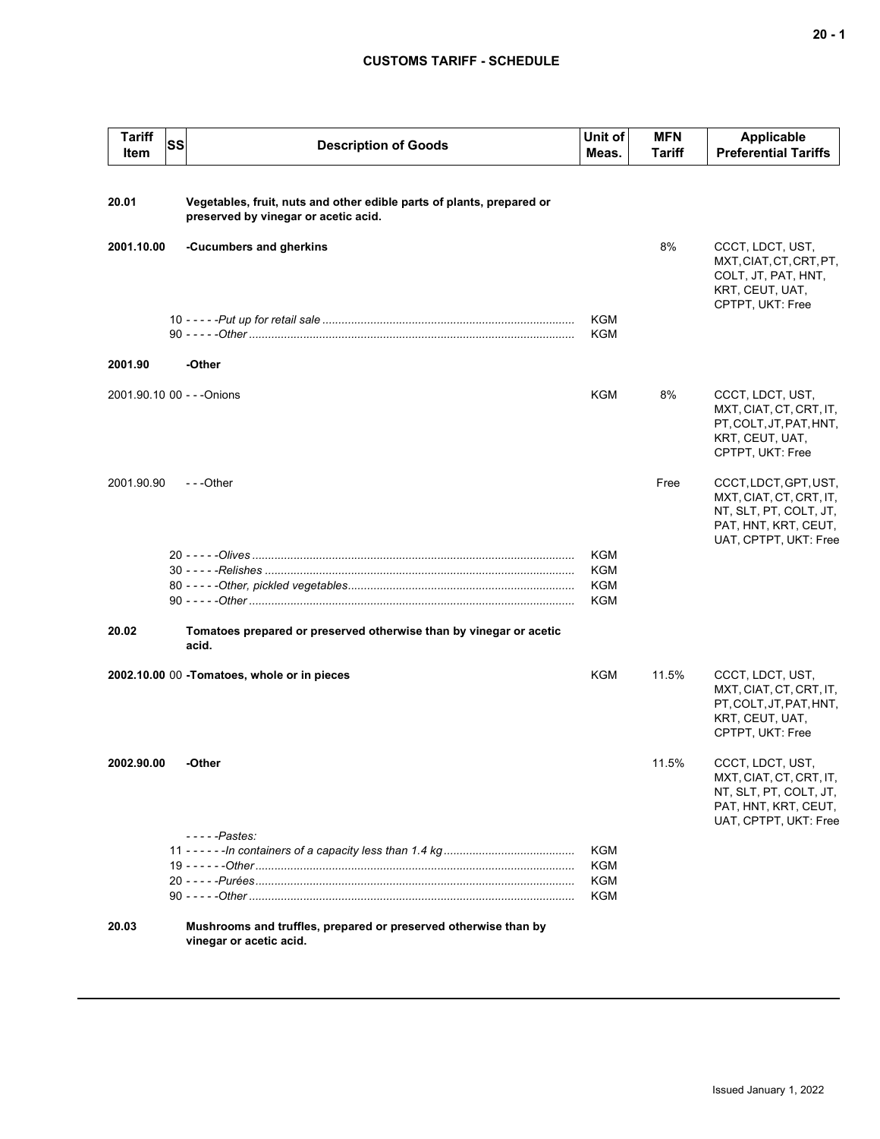## **CUSTOMS TARIFF - SCHEDULE**

| <b>Tariff</b><br>Item | <b>SS</b> | <b>Description of Goods</b>                                                                                   | Unit of<br>Meas.  | <b>MFN</b><br><b>Tariff</b> | <b>Applicable</b><br><b>Preferential Tariffs</b>                                                                            |
|-----------------------|-----------|---------------------------------------------------------------------------------------------------------------|-------------------|-----------------------------|-----------------------------------------------------------------------------------------------------------------------------|
| 20.01                 |           | Vegetables, fruit, nuts and other edible parts of plants, prepared or<br>preserved by vinegar or acetic acid. |                   |                             |                                                                                                                             |
| 2001.10.00            |           | -Cucumbers and gherkins                                                                                       |                   | 8%                          | CCCT, LDCT, UST,<br>MXT, CIAT, CT, CRT, PT,<br>COLT, JT, PAT, HNT,<br>KRT, CEUT, UAT,<br>CPTPT, UKT: Free                   |
|                       |           |                                                                                                               | KGM<br>KGM        |                             |                                                                                                                             |
| 2001.90               |           | -Other                                                                                                        |                   |                             |                                                                                                                             |
|                       |           | 2001.90.10 00 - - - Onions                                                                                    | KGM               | 8%                          | CCCT, LDCT, UST,<br>MXT, CIAT, CT, CRT, IT,<br>PT, COLT, JT, PAT, HNT,<br>KRT, CEUT, UAT,<br>CPTPT, UKT: Free               |
| 2001.90.90            |           | ---Other                                                                                                      |                   | Free                        | CCCT, LDCT, GPT, UST,<br>MXT, CIAT, CT, CRT, IT,<br>NT, SLT, PT, COLT, JT,<br>PAT, HNT, KRT, CEUT,<br>UAT, CPTPT, UKT: Free |
|                       |           |                                                                                                               | KGM               |                             |                                                                                                                             |
|                       |           |                                                                                                               | KGM               |                             |                                                                                                                             |
|                       |           |                                                                                                               | KGM<br><b>KGM</b> |                             |                                                                                                                             |
| 20.02                 |           | Tomatoes prepared or preserved otherwise than by vinegar or acetic<br>acid.                                   |                   |                             |                                                                                                                             |
|                       |           | 2002.10.00 00 - Tomatoes, whole or in pieces                                                                  | KGM               | 11.5%                       | CCCT, LDCT, UST,<br>MXT, CIAT, CT, CRT, IT,<br>PT, COLT, JT, PAT, HNT,<br>KRT, CEUT, UAT,<br>CPTPT, UKT: Free               |
| 2002.90.00            |           | -Other                                                                                                        |                   | 11.5%                       | CCCT, LDCT, UST,<br>MXT, CIAT, CT, CRT, IT,<br>NT, SLT, PT, COLT, JT,<br>PAT, HNT, KRT, CEUT,<br>UAT, CPTPT, UKT: Free      |
|                       |           | $---Pastes:$                                                                                                  | KGM               |                             |                                                                                                                             |
|                       |           |                                                                                                               | <b>KGM</b>        |                             |                                                                                                                             |
|                       |           |                                                                                                               | KGM               |                             |                                                                                                                             |
|                       |           |                                                                                                               | KGM               |                             |                                                                                                                             |
| 20.03                 |           | Mushrooms and truffles, prepared or preserved otherwise than by<br>vinegar or acetic acid.                    |                   |                             |                                                                                                                             |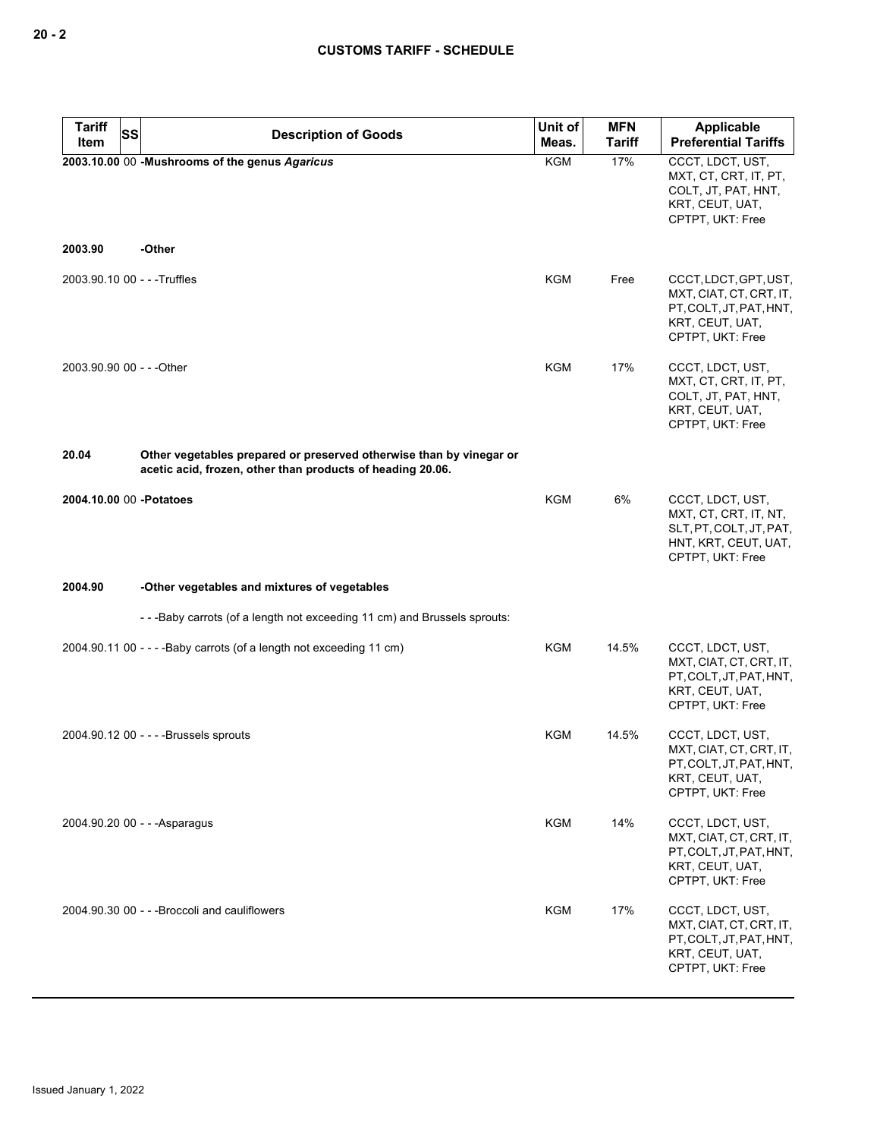| <b>Tariff</b><br><b>SS</b>   | <b>Description of Goods</b>                                                                                                       | Unit of    | <b>MFN</b>    | <b>Applicable</b>                                                                                                  |
|------------------------------|-----------------------------------------------------------------------------------------------------------------------------------|------------|---------------|--------------------------------------------------------------------------------------------------------------------|
| Item                         |                                                                                                                                   | Meas.      | <b>Tariff</b> | <b>Preferential Tariffs</b>                                                                                        |
|                              | 2003.10.00 00 -Mushrooms of the genus Agaricus                                                                                    | <b>KGM</b> | 17%           | CCCT, LDCT, UST,<br>MXT, CT, CRT, IT, PT,<br>COLT, JT, PAT, HNT,<br>KRT, CEUT, UAT,<br>CPTPT, UKT: Free            |
| 2003.90                      | -Other                                                                                                                            |            |               |                                                                                                                    |
| 2003.90.10 00 - - - Truffles |                                                                                                                                   | <b>KGM</b> | Free          | CCCT, LDCT, GPT, UST,<br>MXT, CIAT, CT, CRT, IT,<br>PT, COLT, JT, PAT, HNT,<br>KRT, CEUT, UAT,<br>CPTPT, UKT: Free |
| 2003.90.90 00 - - - Other    |                                                                                                                                   | <b>KGM</b> | 17%           | CCCT, LDCT, UST,<br>MXT, CT, CRT, IT, PT,<br>COLT, JT, PAT, HNT,<br>KRT, CEUT, UAT,<br>CPTPT, UKT: Free            |
| 20.04                        | Other vegetables prepared or preserved otherwise than by vinegar or<br>acetic acid, frozen, other than products of heading 20.06. |            |               |                                                                                                                    |
| 2004.10.00 00 -Potatoes      |                                                                                                                                   | <b>KGM</b> | 6%            | CCCT, LDCT, UST,<br>MXT, CT, CRT, IT, NT,<br>SLT, PT, COLT, JT, PAT,<br>HNT, KRT, CEUT, UAT,<br>CPTPT, UKT: Free   |
| 2004.90                      | -Other vegetables and mixtures of vegetables                                                                                      |            |               |                                                                                                                    |
|                              | --Baby carrots (of a length not exceeding 11 cm) and Brussels sprouts:                                                            |            |               |                                                                                                                    |
|                              | 2004.90.11 00 - - - - Baby carrots (of a length not exceeding 11 cm)                                                              | <b>KGM</b> | 14.5%         | CCCT, LDCT, UST,<br>MXT, CIAT, CT, CRT, IT,<br>PT, COLT, JT, PAT, HNT,<br>KRT, CEUT, UAT,<br>CPTPT, UKT: Free      |
|                              | 2004.90.12 00 - - - - Brussels sprouts                                                                                            | KGM        | 14.5%         | CCCT, LDCT, UST,<br>MXT, CIAT, CT, CRT, IT,<br>PT, COLT, JT, PAT, HNT,<br>KRT, CEUT, UAT,<br>CPTPT, UKT: Free      |
|                              | 2004.90.20 00 - - - Asparagus                                                                                                     | <b>KGM</b> | 14%           | CCCT, LDCT, UST,<br>MXT, CIAT, CT, CRT, IT,<br>PT, COLT, JT, PAT, HNT,<br>KRT, CEUT, UAT,<br>CPTPT, UKT: Free      |
|                              | 2004.90.30 00 - - - Broccoli and cauliflowers                                                                                     | <b>KGM</b> | 17%           | CCCT, LDCT, UST,<br>MXT, CIAT, CT, CRT, IT,<br>PT, COLT, JT, PAT, HNT,<br>KRT, CEUT, UAT,<br>CPTPT, UKT: Free      |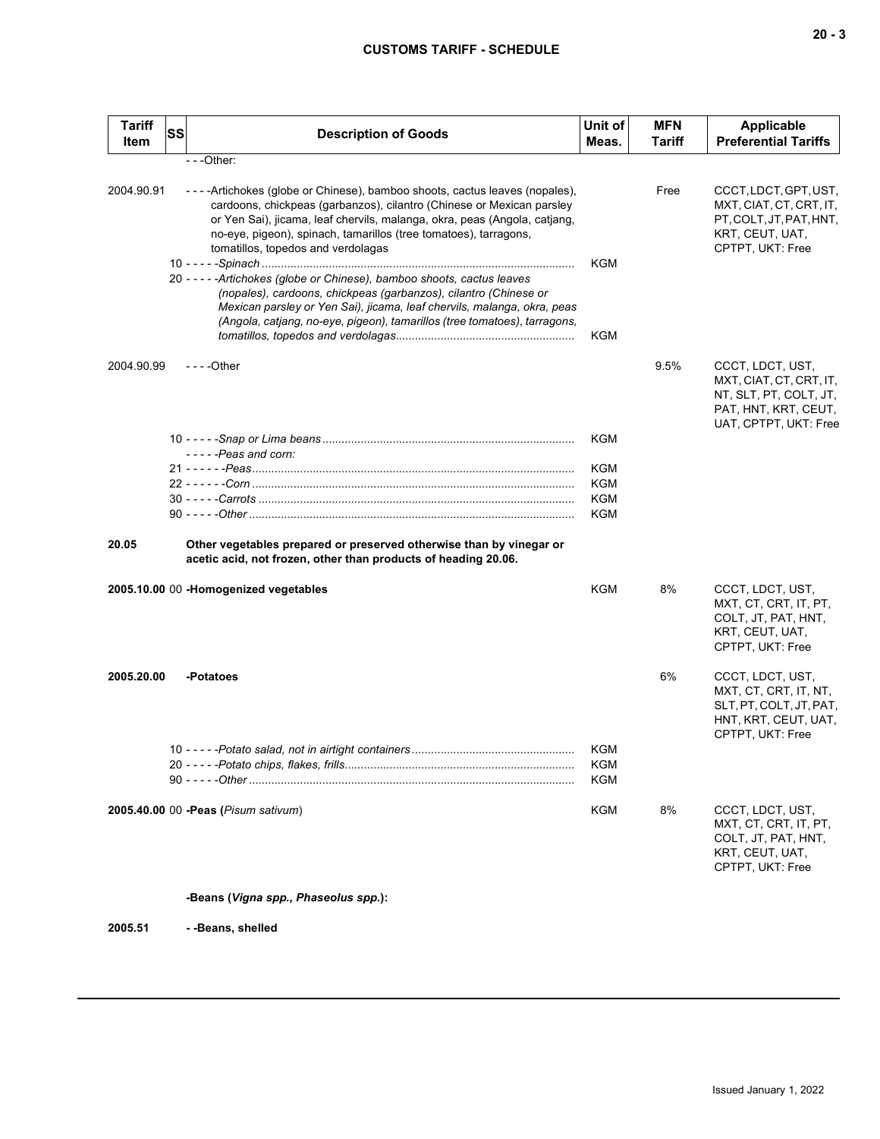| <b>Tariff</b><br>Item | SS | <b>Description of Goods</b>                                                                                                                                                                                                                                                                                                                | Unit of<br>Meas. | <b>MFN</b><br>Tariff | <b>Applicable</b><br><b>Preferential Tariffs</b>                                                                       |
|-----------------------|----|--------------------------------------------------------------------------------------------------------------------------------------------------------------------------------------------------------------------------------------------------------------------------------------------------------------------------------------------|------------------|----------------------|------------------------------------------------------------------------------------------------------------------------|
|                       |    | $- -$ Other:                                                                                                                                                                                                                                                                                                                               |                  |                      |                                                                                                                        |
| 2004.90.91            |    | ----Artichokes (globe or Chinese), bamboo shoots, cactus leaves (nopales),<br>cardoons, chickpeas (garbanzos), cilantro (Chinese or Mexican parsley<br>or Yen Sai), jicama, leaf chervils, malanga, okra, peas (Angola, catiang,<br>no-eye, pigeon), spinach, tamarillos (tree tomatoes), tarragons,<br>tomatillos, topedos and verdolagas |                  | Free                 | CCCT, LDCT, GPT, UST,<br>MXT, CIAT, CT, CRT, IT,<br>PT, COLT, JT, PAT, HNT,<br>KRT, CEUT, UAT,<br>CPTPT, UKT: Free     |
|                       |    | 20 - - - - - Artichokes (globe or Chinese), bamboo shoots, cactus leaves<br>(nopales), cardoons, chickpeas (garbanzos), cilantro (Chinese or<br>Mexican parsley or Yen Sai), jicama, leaf chervils, malanga, okra, peas<br>(Angola, catjang, no-eye, pigeon), tamarillos (tree tomatoes), tarragons,                                       | KGM<br>KGM       |                      |                                                                                                                        |
| 2004.90.99            |    | $- - -$ Other                                                                                                                                                                                                                                                                                                                              |                  | 9.5%                 | CCCT, LDCT, UST,<br>MXT, CIAT, CT, CRT, IT,<br>NT, SLT, PT, COLT, JT,<br>PAT, HNT, KRT, CEUT,<br>UAT, CPTPT, UKT: Free |
|                       |    | $---$ Peas and corn:                                                                                                                                                                                                                                                                                                                       | KGM              |                      |                                                                                                                        |
|                       |    |                                                                                                                                                                                                                                                                                                                                            | <b>KGM</b>       |                      |                                                                                                                        |
|                       |    |                                                                                                                                                                                                                                                                                                                                            | <b>KGM</b>       |                      |                                                                                                                        |
|                       |    |                                                                                                                                                                                                                                                                                                                                            | <b>KGM</b>       |                      |                                                                                                                        |
|                       |    |                                                                                                                                                                                                                                                                                                                                            | <b>KGM</b>       |                      |                                                                                                                        |
| 20.05                 |    | Other vegetables prepared or preserved otherwise than by vinegar or<br>acetic acid, not frozen, other than products of heading 20.06.                                                                                                                                                                                                      |                  |                      |                                                                                                                        |
|                       |    | 2005.10.00 00 -Homogenized vegetables                                                                                                                                                                                                                                                                                                      | KGM              | 8%                   | CCCT, LDCT, UST,<br>MXT, CT, CRT, IT, PT,<br>COLT, JT, PAT, HNT,<br>KRT, CEUT, UAT,<br>CPTPT, UKT: Free                |
| 2005.20.00            |    | -Potatoes                                                                                                                                                                                                                                                                                                                                  |                  | 6%                   | CCCT, LDCT, UST,<br>MXT, CT, CRT, IT, NT,<br>SLT, PT, COLT, JT, PAT,<br>HNT, KRT, CEUT, UAT,<br>CPTPT, UKT: Free       |
|                       |    |                                                                                                                                                                                                                                                                                                                                            | KGM              |                      |                                                                                                                        |
|                       |    |                                                                                                                                                                                                                                                                                                                                            | <b>KGM</b>       |                      |                                                                                                                        |
|                       |    |                                                                                                                                                                                                                                                                                                                                            | <b>KGM</b>       |                      |                                                                                                                        |
|                       |    | 2005.40.00 00 - Peas (Pisum sativum)                                                                                                                                                                                                                                                                                                       | KGM              | 8%                   | CCCT, LDCT, UST,<br>MXT, CT, CRT, IT, PT,<br>COLT, JT, PAT, HNT,<br>KRT, CEUT, UAT,<br>CPTPT, UKT: Free                |
|                       |    | -Beans (Vigna spp., Phaseolus spp.):                                                                                                                                                                                                                                                                                                       |                  |                      |                                                                                                                        |

**2005.51 - -Beans, shelled**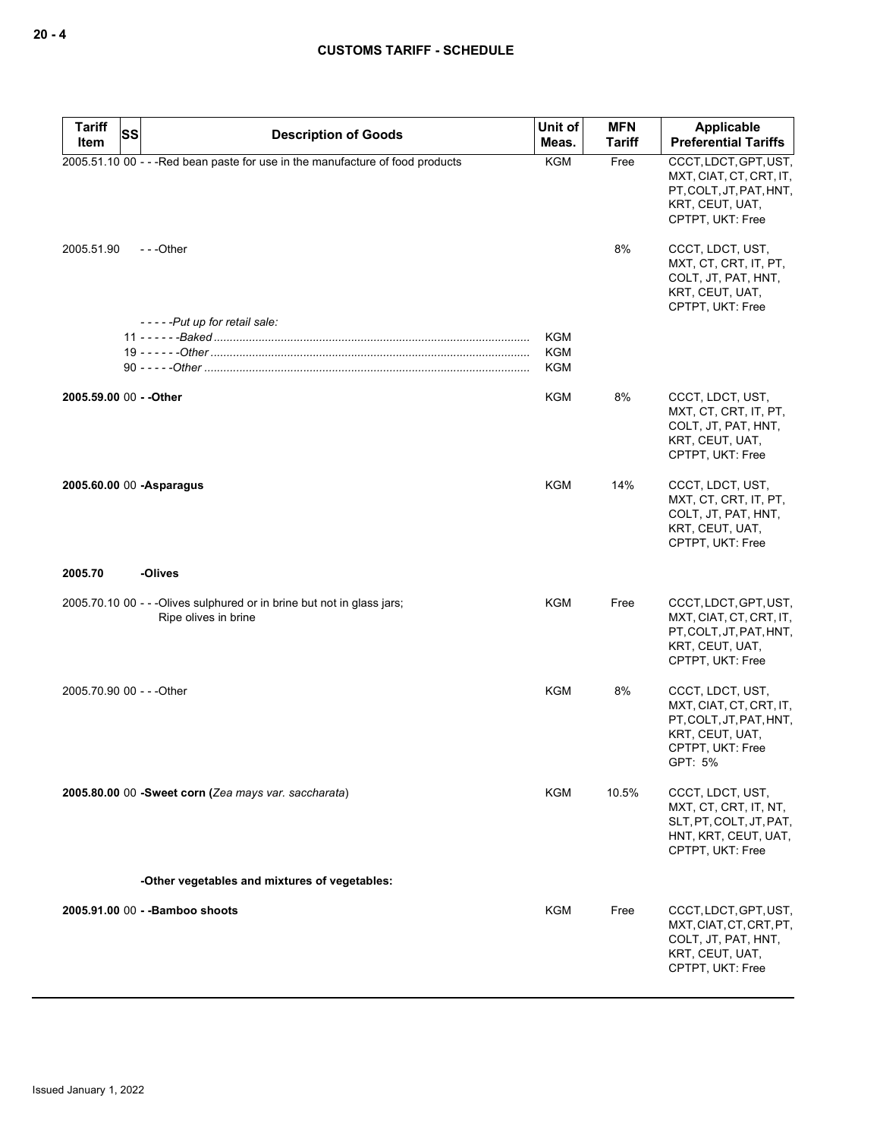| <b>Tariff</b><br>Item | SS<br><b>Description of Goods</b>                                                               | Unit of<br>Meas.         | <b>MFN</b><br><b>Tariff</b> | <b>Applicable</b><br><b>Preferential Tariffs</b>                                                                         |
|-----------------------|-------------------------------------------------------------------------------------------------|--------------------------|-----------------------------|--------------------------------------------------------------------------------------------------------------------------|
|                       | 2005.51.10 00 - - - Red bean paste for use in the manufacture of food products                  | <b>KGM</b>               | Free                        | CCCT, LDCT, GPT, UST,<br>MXT, CIAT, CT, CRT, IT,<br>PT.COLT.JT.PAT.HNT.<br>KRT, CEUT, UAT,<br>CPTPT, UKT: Free           |
| 2005.51.90            | ---Other                                                                                        |                          | 8%                          | CCCT, LDCT, UST,<br>MXT, CT, CRT, IT, PT,<br>COLT, JT, PAT, HNT,<br>KRT, CEUT, UAT,<br>CPTPT, UKT: Free                  |
|                       | -----Put up for retail sale:                                                                    |                          |                             |                                                                                                                          |
|                       |                                                                                                 | <b>KGM</b>               |                             |                                                                                                                          |
|                       |                                                                                                 | <b>KGM</b><br><b>KGM</b> |                             |                                                                                                                          |
|                       |                                                                                                 |                          |                             |                                                                                                                          |
|                       | 2005.59.00 00 - - Other                                                                         | <b>KGM</b>               | 8%                          | CCCT, LDCT, UST,<br>MXT, CT, CRT, IT, PT,<br>COLT, JT, PAT, HNT,<br>KRT, CEUT, UAT,<br>CPTPT, UKT: Free                  |
|                       | 2005.60.00 00 -Asparagus                                                                        | KGM                      | 14%                         | CCCT, LDCT, UST,<br>MXT, CT, CRT, IT, PT,<br>COLT, JT, PAT, HNT,<br>KRT, CEUT, UAT,<br>CPTPT, UKT: Free                  |
| 2005.70               | -Olives                                                                                         |                          |                             |                                                                                                                          |
|                       | 2005.70.10 00 - - - Olives sulphured or in brine but not in glass jars;<br>Ripe olives in brine | KGM                      | Free                        | CCCT, LDCT, GPT, UST,<br>MXT, CIAT, CT, CRT, IT,<br>PT, COLT, JT, PAT, HNT,<br>KRT, CEUT, UAT,<br>CPTPT, UKT: Free       |
|                       | 2005.70.90 00 - - - Other                                                                       | KGM                      | 8%                          | CCCT, LDCT, UST,<br>MXT, CIAT, CT, CRT, IT,<br>PT, COLT, JT, PAT, HNT,<br>KRT, CEUT, UAT,<br>CPTPT, UKT: Free<br>GPT: 5% |
|                       | 2005.80.00 00 -Sweet corn (Zea mays var. saccharata)                                            | KGM                      | 10.5%                       | CCCT, LDCT, UST,<br>MXT, CT, CRT, IT, NT,<br>SLT, PT, COLT, JT, PAT,<br>HNT, KRT, CEUT, UAT,<br>CPTPT, UKT: Free         |
|                       | -Other vegetables and mixtures of vegetables:                                                   |                          |                             |                                                                                                                          |
|                       |                                                                                                 |                          |                             |                                                                                                                          |
|                       | 2005.91.00 00 - - Bamboo shoots                                                                 | KGM                      | Free                        | CCCT, LDCT, GPT, UST,<br>MXT, CIAT, CT, CRT, PT,<br>COLT, JT, PAT, HNT,<br>KRT, CEUT, UAT,<br>CPTPT, UKT: Free           |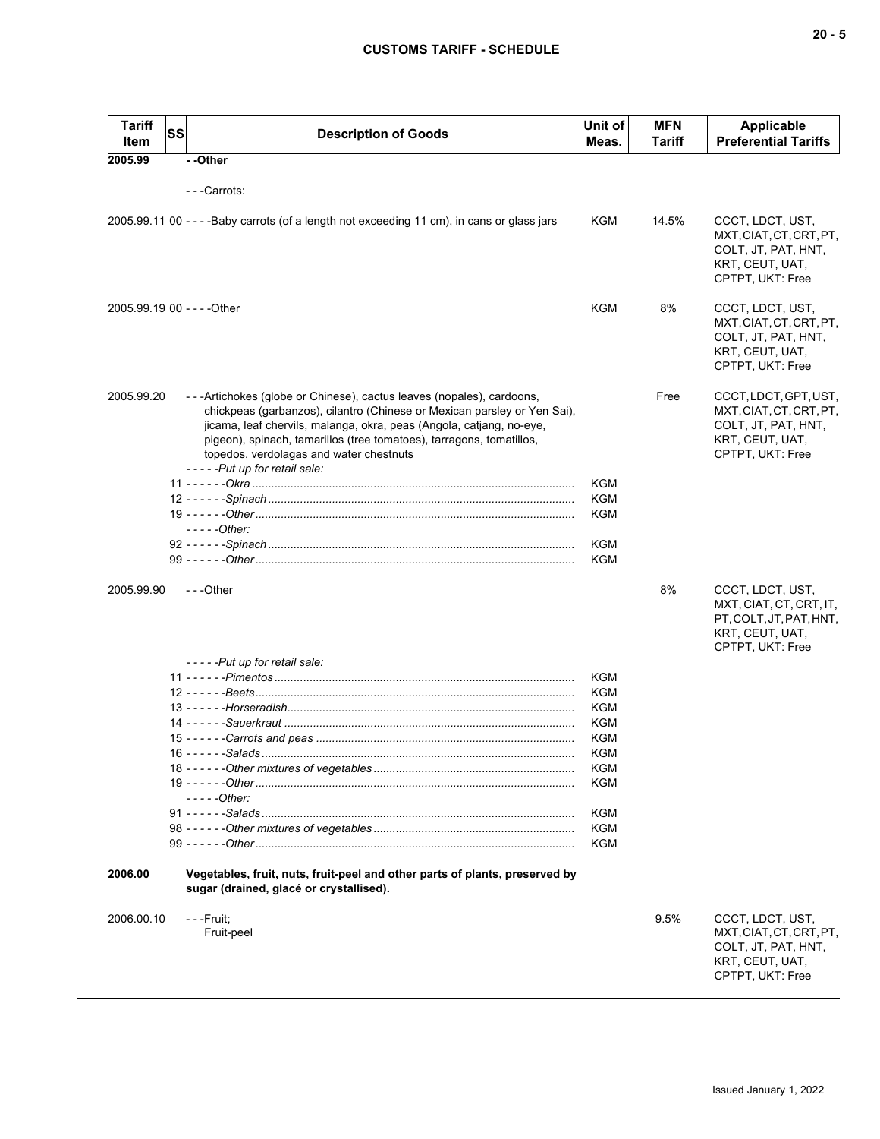| <b>Tariff</b><br>Item       | <b>SS</b> | <b>Description of Goods</b>                                                                                                                                                                                                                                                                                                                                                 | Unit of<br>Meas. | <b>MFN</b><br>Tariff | Applicable<br><b>Preferential Tariffs</b>                                                                      |
|-----------------------------|-----------|-----------------------------------------------------------------------------------------------------------------------------------------------------------------------------------------------------------------------------------------------------------------------------------------------------------------------------------------------------------------------------|------------------|----------------------|----------------------------------------------------------------------------------------------------------------|
| 2005.99                     |           | --Other                                                                                                                                                                                                                                                                                                                                                                     |                  |                      |                                                                                                                |
|                             |           | - - -Carrots:                                                                                                                                                                                                                                                                                                                                                               |                  |                      |                                                                                                                |
|                             |           |                                                                                                                                                                                                                                                                                                                                                                             |                  |                      |                                                                                                                |
|                             |           | 2005.99.11 00 - - - - Baby carrots (of a length not exceeding 11 cm), in cans or glass jars                                                                                                                                                                                                                                                                                 | KGM              | 14.5%                | CCCT, LDCT, UST,<br>MXT, CIAT, CT, CRT, PT,<br>COLT, JT, PAT, HNT,<br>KRT, CEUT, UAT,<br>CPTPT, UKT: Free      |
| 2005.99.19 00 - - - - Other |           |                                                                                                                                                                                                                                                                                                                                                                             | KGM              | 8%                   | CCCT, LDCT, UST,<br>MXT, CIAT, CT, CRT, PT,<br>COLT, JT, PAT, HNT,<br>KRT, CEUT, UAT,<br>CPTPT, UKT: Free      |
| 2005.99.20                  |           | ---Artichokes (globe or Chinese), cactus leaves (nopales), cardoons,<br>chickpeas (garbanzos), cilantro (Chinese or Mexican parsley or Yen Sai),<br>jicama, leaf chervils, malanga, okra, peas (Angola, catjang, no-eye,<br>pigeon), spinach, tamarillos (tree tomatoes), tarragons, tomatillos,<br>topedos, verdolagas and water chestnuts<br>-----Put up for retail sale: |                  | Free                 | CCCT, LDCT, GPT, UST,<br>MXT, CIAT, CT, CRT, PT,<br>COLT, JT, PAT, HNT,<br>KRT, CEUT, UAT,<br>CPTPT, UKT: Free |
|                             |           |                                                                                                                                                                                                                                                                                                                                                                             | <b>KGM</b>       |                      |                                                                                                                |
|                             |           |                                                                                                                                                                                                                                                                                                                                                                             | <b>KGM</b>       |                      |                                                                                                                |
|                             |           |                                                                                                                                                                                                                                                                                                                                                                             | KGM              |                      |                                                                                                                |
|                             |           | - - - - - Other:                                                                                                                                                                                                                                                                                                                                                            |                  |                      |                                                                                                                |
|                             |           |                                                                                                                                                                                                                                                                                                                                                                             | <b>KGM</b>       |                      |                                                                                                                |
|                             |           |                                                                                                                                                                                                                                                                                                                                                                             | <b>KGM</b>       |                      |                                                                                                                |
| 2005.99.90                  |           | ---Other                                                                                                                                                                                                                                                                                                                                                                    |                  | 8%                   | CCCT, LDCT, UST,<br>MXT, CIAT, CT, CRT, IT,<br>PT, COLT, JT, PAT, HNT,<br>KRT, CEUT, UAT,<br>CPTPT, UKT: Free  |
|                             |           | -----Put up for retail sale:                                                                                                                                                                                                                                                                                                                                                |                  |                      |                                                                                                                |
|                             |           |                                                                                                                                                                                                                                                                                                                                                                             | <b>KGM</b>       |                      |                                                                                                                |
|                             |           |                                                                                                                                                                                                                                                                                                                                                                             | <b>KGM</b>       |                      |                                                                                                                |
|                             |           |                                                                                                                                                                                                                                                                                                                                                                             | KGM              |                      |                                                                                                                |
|                             |           |                                                                                                                                                                                                                                                                                                                                                                             | KGM<br>KGM       |                      |                                                                                                                |
|                             |           |                                                                                                                                                                                                                                                                                                                                                                             | KGM              |                      |                                                                                                                |
|                             |           |                                                                                                                                                                                                                                                                                                                                                                             | KGM              |                      |                                                                                                                |
|                             |           |                                                                                                                                                                                                                                                                                                                                                                             | <b>KGM</b>       |                      |                                                                                                                |
|                             |           | $---Other:$                                                                                                                                                                                                                                                                                                                                                                 |                  |                      |                                                                                                                |
|                             |           |                                                                                                                                                                                                                                                                                                                                                                             | KGM              |                      |                                                                                                                |
|                             |           |                                                                                                                                                                                                                                                                                                                                                                             | KGM              |                      |                                                                                                                |
|                             |           |                                                                                                                                                                                                                                                                                                                                                                             | KGM              |                      |                                                                                                                |
| 2006.00                     |           | Vegetables, fruit, nuts, fruit-peel and other parts of plants, preserved by<br>sugar (drained, glacé or crystallised).                                                                                                                                                                                                                                                      |                  |                      |                                                                                                                |
| 2006.00.10                  |           | - - -Fruit;<br>Fruit-peel                                                                                                                                                                                                                                                                                                                                                   |                  | 9.5%                 | CCCT, LDCT, UST,<br>MXT, CIAT, CT, CRT, PT,<br>COLT, JT, PAT, HNT,<br>KRT, CEUT, UAT,<br>CPTPT, UKT: Free      |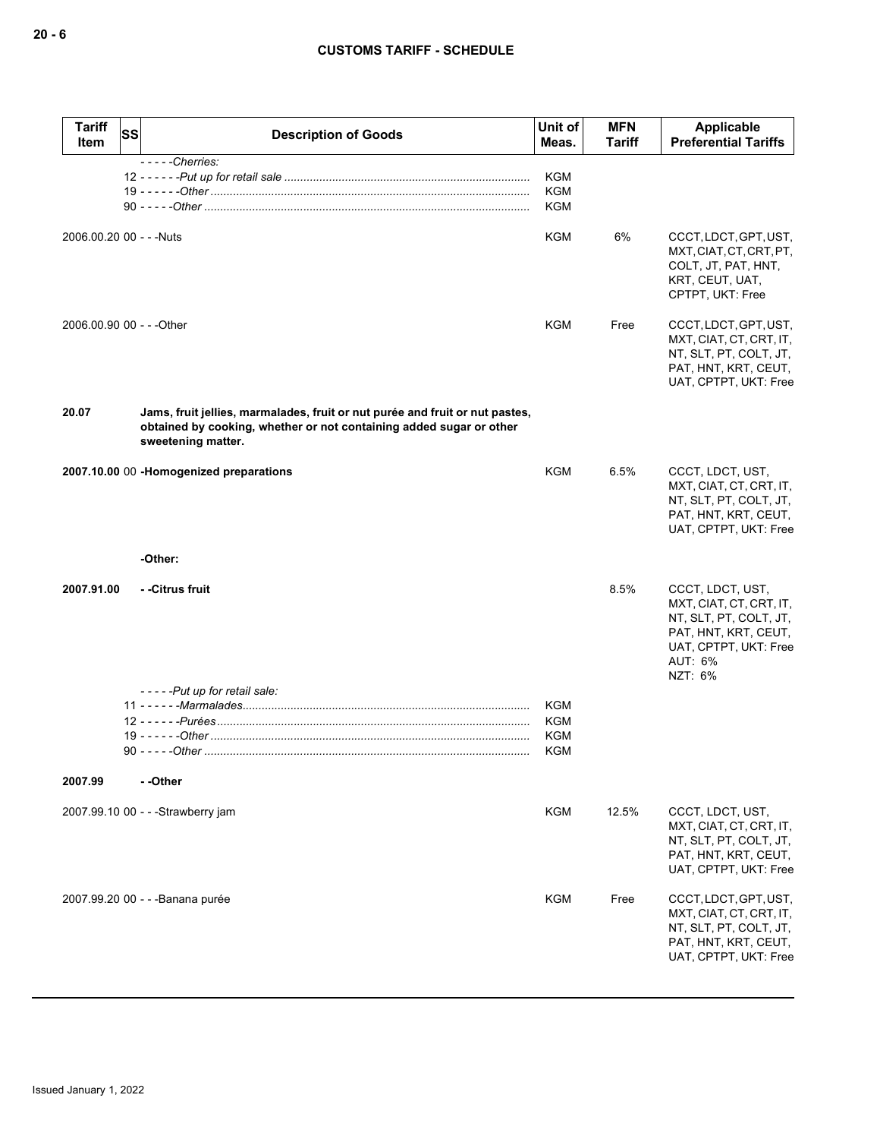| <b>Tariff</b><br>Item     | ssl | <b>Description of Goods</b>                                                                                                                                               | Unit of<br>Meas.                              | <b>MFN</b><br>Tariff | Applicable<br><b>Preferential Tariffs</b>                                                                                                    |
|---------------------------|-----|---------------------------------------------------------------------------------------------------------------------------------------------------------------------------|-----------------------------------------------|----------------------|----------------------------------------------------------------------------------------------------------------------------------------------|
|                           |     | $---$ Cherries:                                                                                                                                                           | <b>KGM</b><br><b>KGM</b><br><b>KGM</b>        |                      |                                                                                                                                              |
| 2006.00.20 00 - - - Nuts  |     |                                                                                                                                                                           | <b>KGM</b>                                    | 6%                   | CCCT, LDCT, GPT, UST,<br>MXT, CIAT, CT, CRT, PT,<br>COLT, JT, PAT, HNT,<br>KRT, CEUT, UAT,<br>CPTPT, UKT: Free                               |
| 2006.00.90 00 - - - Other |     |                                                                                                                                                                           | <b>KGM</b>                                    | Free                 | CCCT, LDCT, GPT, UST,<br>MXT, CIAT, CT, CRT, IT,<br>NT, SLT, PT, COLT, JT,<br>PAT, HNT, KRT, CEUT,<br>UAT, CPTPT, UKT: Free                  |
| 20.07                     |     | Jams, fruit jellies, marmalades, fruit or nut purée and fruit or nut pastes,<br>obtained by cooking, whether or not containing added sugar or other<br>sweetening matter. |                                               |                      |                                                                                                                                              |
|                           |     | 2007.10.00 00 -Homogenized preparations                                                                                                                                   | <b>KGM</b>                                    | 6.5%                 | CCCT, LDCT, UST,<br>MXT, CIAT, CT, CRT, IT,<br>NT, SLT, PT, COLT, JT,<br>PAT, HNT, KRT, CEUT,<br>UAT, CPTPT, UKT: Free                       |
|                           |     | -Other:                                                                                                                                                                   |                                               |                      |                                                                                                                                              |
| 2007.91.00                |     | - -Citrus fruit                                                                                                                                                           |                                               | 8.5%                 | CCCT, LDCT, UST,<br>MXT, CIAT, CT, CRT, IT,<br>NT, SLT, PT, COLT, JT,<br>PAT, HNT, KRT, CEUT,<br>UAT, CPTPT, UKT: Free<br>AUT: 6%<br>NZT: 6% |
|                           |     | -----Put up for retail sale:                                                                                                                                              |                                               |                      |                                                                                                                                              |
|                           |     |                                                                                                                                                                           | <b>KGM</b><br><b>KGM</b><br>KGM<br><b>KGM</b> |                      |                                                                                                                                              |
| 2007.99                   |     | - -Other                                                                                                                                                                  |                                               |                      |                                                                                                                                              |
|                           |     | 2007.99.10 00 - - - Strawberry jam                                                                                                                                        | <b>KGM</b>                                    | 12.5%                | CCCT, LDCT, UST,<br>MXT, CIAT, CT, CRT, IT,<br>NT, SLT, PT, COLT, JT,<br>PAT, HNT, KRT, CEUT,<br>UAT, CPTPT, UKT: Free                       |
|                           |     | 2007.99.20 00 - - - Banana purée                                                                                                                                          | KGM                                           | Free                 | CCCT, LDCT, GPT, UST,<br>MXT, CIAT, CT, CRT, IT,<br>NT, SLT, PT, COLT, JT,<br>PAT, HNT, KRT, CEUT,<br>UAT, CPTPT, UKT: Free                  |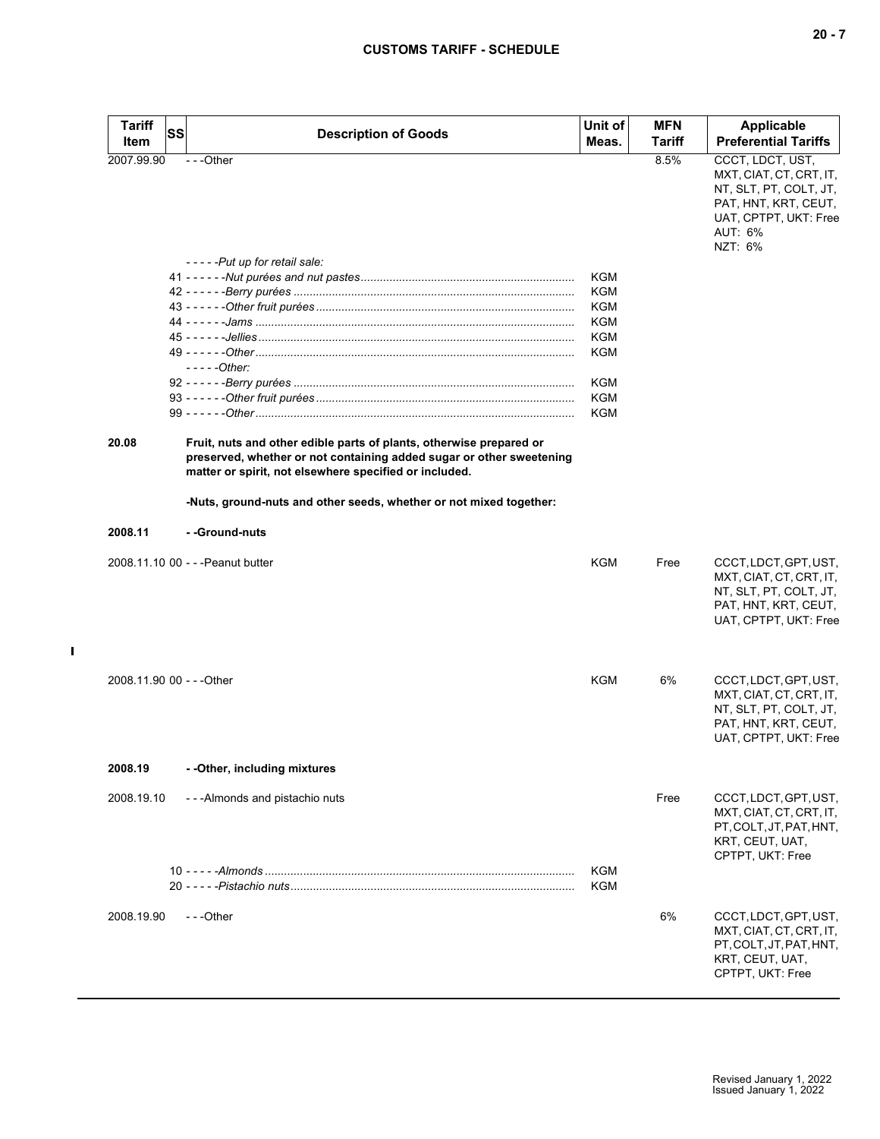| Tariff<br>Item            | <b>SS</b> | <b>Description of Goods</b>                                                                                                    | Unit of<br>Meas. | <b>MFN</b><br>Tariff | <b>Applicable</b><br><b>Preferential Tariffs</b>                                                                                             |
|---------------------------|-----------|--------------------------------------------------------------------------------------------------------------------------------|------------------|----------------------|----------------------------------------------------------------------------------------------------------------------------------------------|
| 2007.99.90                |           | $- -$ Other                                                                                                                    |                  | 8.5%                 | CCCT, LDCT, UST,<br>MXT, CIAT, CT, CRT, IT,<br>NT, SLT, PT, COLT, JT,<br>PAT, HNT, KRT, CEUT,<br>UAT, CPTPT, UKT: Free<br>AUT: 6%<br>NZT: 6% |
|                           |           | -----Put up for retail sale:                                                                                                   |                  |                      |                                                                                                                                              |
|                           |           |                                                                                                                                | KGM<br>KGM       |                      |                                                                                                                                              |
|                           |           |                                                                                                                                | KGM              |                      |                                                                                                                                              |
|                           |           |                                                                                                                                | KGM              |                      |                                                                                                                                              |
|                           |           |                                                                                                                                | KGM              |                      |                                                                                                                                              |
|                           |           |                                                                                                                                | KGM              |                      |                                                                                                                                              |
|                           |           | $---Other:$                                                                                                                    |                  |                      |                                                                                                                                              |
|                           |           |                                                                                                                                | KGM              |                      |                                                                                                                                              |
|                           |           |                                                                                                                                | KGM              |                      |                                                                                                                                              |
|                           |           |                                                                                                                                | <b>KGM</b>       |                      |                                                                                                                                              |
| 20.08                     |           | Fruit, nuts and other edible parts of plants, otherwise prepared or                                                            |                  |                      |                                                                                                                                              |
|                           |           | preserved, whether or not containing added sugar or other sweetening<br>matter or spirit, not elsewhere specified or included. |                  |                      |                                                                                                                                              |
|                           |           | -Nuts, ground-nuts and other seeds, whether or not mixed together:                                                             |                  |                      |                                                                                                                                              |
| 2008.11                   |           | - -Ground-nuts                                                                                                                 |                  |                      |                                                                                                                                              |
|                           |           | 2008.11.10 00 - - - Peanut butter                                                                                              | KGM              | Free                 | CCCT, LDCT, GPT, UST,<br>MXT, CIAT, CT, CRT, IT,<br>NT, SLT, PT, COLT, JT,<br>PAT, HNT, KRT, CEUT,<br>UAT, CPTPT, UKT: Free                  |
| 2008.11.90 00 - - - Other |           |                                                                                                                                | KGM              | 6%                   | CCCT, LDCT, GPT, UST,<br>MXT, CIAT, CT, CRT, IT,<br>NT, SLT, PT, COLT, JT,<br>PAT, HNT, KRT, CEUT,<br>UAT, CPTPT, UKT: Free                  |
| 2008.19                   |           | - - Other, including mixtures                                                                                                  |                  |                      |                                                                                                                                              |
| 2008.19.10                |           | - - - Almonds and pistachio nuts                                                                                               |                  | Free                 | CCCT, LDCT, GPT, UST,<br>MXT, CIAT, CT, CRT, IT,<br>PT, COLT, JT, PAT, HNT,<br>KRT, CEUT, UAT,<br>CPTPT, UKT: Free                           |
|                           |           |                                                                                                                                |                  |                      |                                                                                                                                              |
|                           |           |                                                                                                                                | KGM              |                      |                                                                                                                                              |
|                           |           |                                                                                                                                | KGM              |                      |                                                                                                                                              |
| 2008.19.90                |           | ---Other                                                                                                                       |                  | 6%                   | CCCT, LDCT, GPT, UST,<br>MXT, CIAT, CT, CRT, IT,<br>PT, COLT, JT, PAT, HNT,<br>KRT, CEUT, UAT,<br>CPTPT, UKT: Free                           |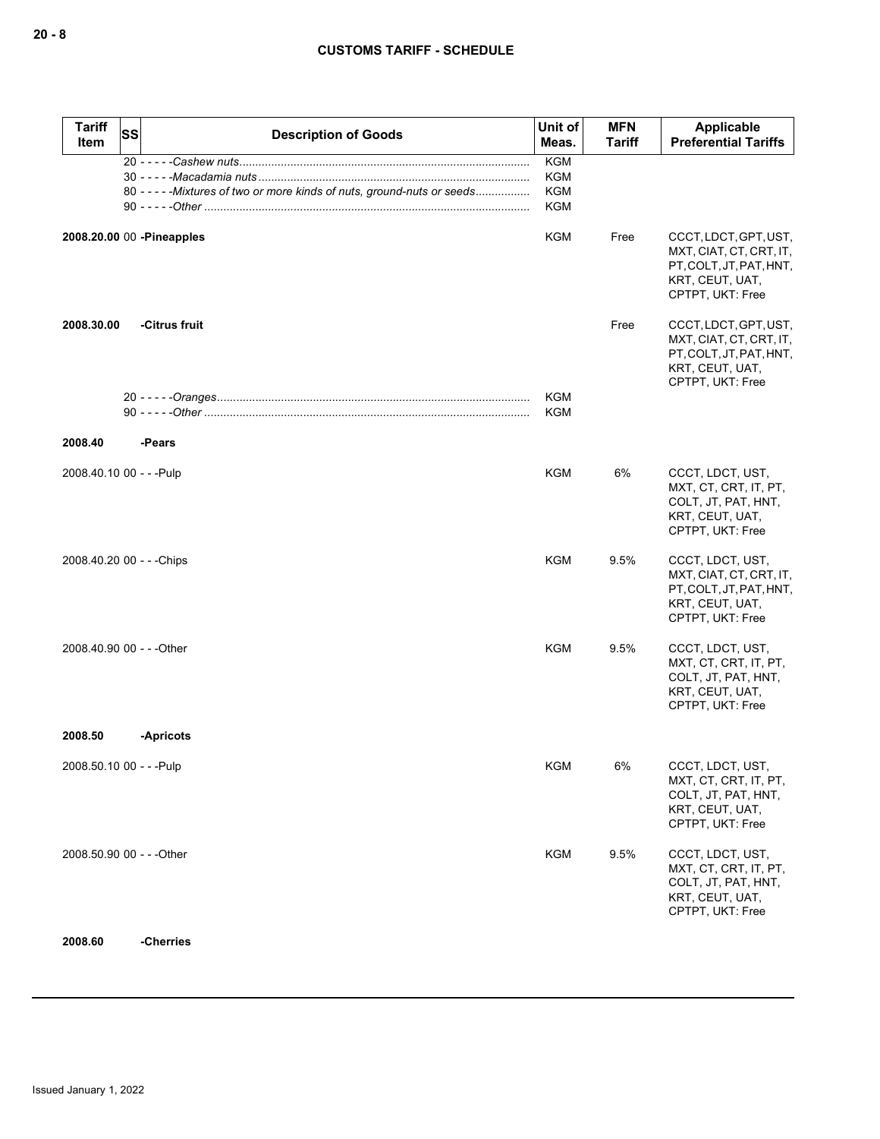## **CUSTOMS TARIFF - SCHEDULE**

| <b>Tariff</b><br>SS<br>Item | <b>Description of Goods</b>                                              | Unit of<br>Meas.                                     | <b>MFN</b><br><b>Tariff</b> | Applicable<br><b>Preferential Tariffs</b>                                                                          |
|-----------------------------|--------------------------------------------------------------------------|------------------------------------------------------|-----------------------------|--------------------------------------------------------------------------------------------------------------------|
|                             | 80 - - - - - Mixtures of two or more kinds of nuts, ground-nuts or seeds | <b>KGM</b><br><b>KGM</b><br><b>KGM</b><br><b>KGM</b> |                             |                                                                                                                    |
| 2008.20.00 00 - Pineapples  |                                                                          | <b>KGM</b>                                           | Free                        | CCCT, LDCT, GPT, UST,<br>MXT, CIAT, CT, CRT, IT,<br>PT, COLT, JT, PAT, HNT,<br>KRT, CEUT, UAT,<br>CPTPT, UKT: Free |
| 2008.30.00                  | -Citrus fruit                                                            |                                                      | Free                        | CCCT, LDCT, GPT, UST,<br>MXT, CIAT, CT, CRT, IT,<br>PT, COLT, JT, PAT, HNT,<br>KRT, CEUT, UAT,<br>CPTPT, UKT: Free |
|                             |                                                                          | <b>KGM</b><br><b>KGM</b>                             |                             |                                                                                                                    |
| 2008.40                     | -Pears                                                                   |                                                      |                             |                                                                                                                    |
| 2008.40.10 00 - - - Pulp    |                                                                          | KGM                                                  | 6%                          | CCCT, LDCT, UST,<br>MXT, CT, CRT, IT, PT,<br>COLT, JT, PAT, HNT,<br>KRT, CEUT, UAT,<br>CPTPT, UKT: Free            |
| 2008.40.20 00 - - - Chips   |                                                                          | <b>KGM</b>                                           | 9.5%                        | CCCT, LDCT, UST,<br>MXT, CIAT, CT, CRT, IT,<br>PT, COLT, JT, PAT, HNT,<br>KRT, CEUT, UAT,<br>CPTPT, UKT: Free      |
| 2008.40.90 00 - - - Other   |                                                                          | <b>KGM</b>                                           | 9.5%                        | CCCT, LDCT, UST,<br>MXT, CT, CRT, IT, PT,<br>COLT, JT, PAT, HNT,<br>KRT, CEUT, UAT,<br>CPTPT, UKT: Free            |
| 2008.50                     | -Apricots                                                                |                                                      |                             |                                                                                                                    |
| 2008.50.10 00 - - - Pulp    |                                                                          | <b>KGM</b>                                           | 6%                          | CCCT, LDCT, UST,<br>MXT, CT, CRT, IT, PT,<br>COLT, JT, PAT, HNT,<br>KRT, CEUT, UAT,<br>CPTPT, UKT: Free            |
| 2008.50.90 00 - - - Other   |                                                                          | <b>KGM</b>                                           | 9.5%                        | CCCT, LDCT, UST,<br>MXT, CT, CRT, IT, PT,<br>COLT, JT, PAT, HNT,<br>KRT, CEUT, UAT,<br>CPTPT, UKT: Free            |
| 2008.60                     | -Cherries                                                                |                                                      |                             |                                                                                                                    |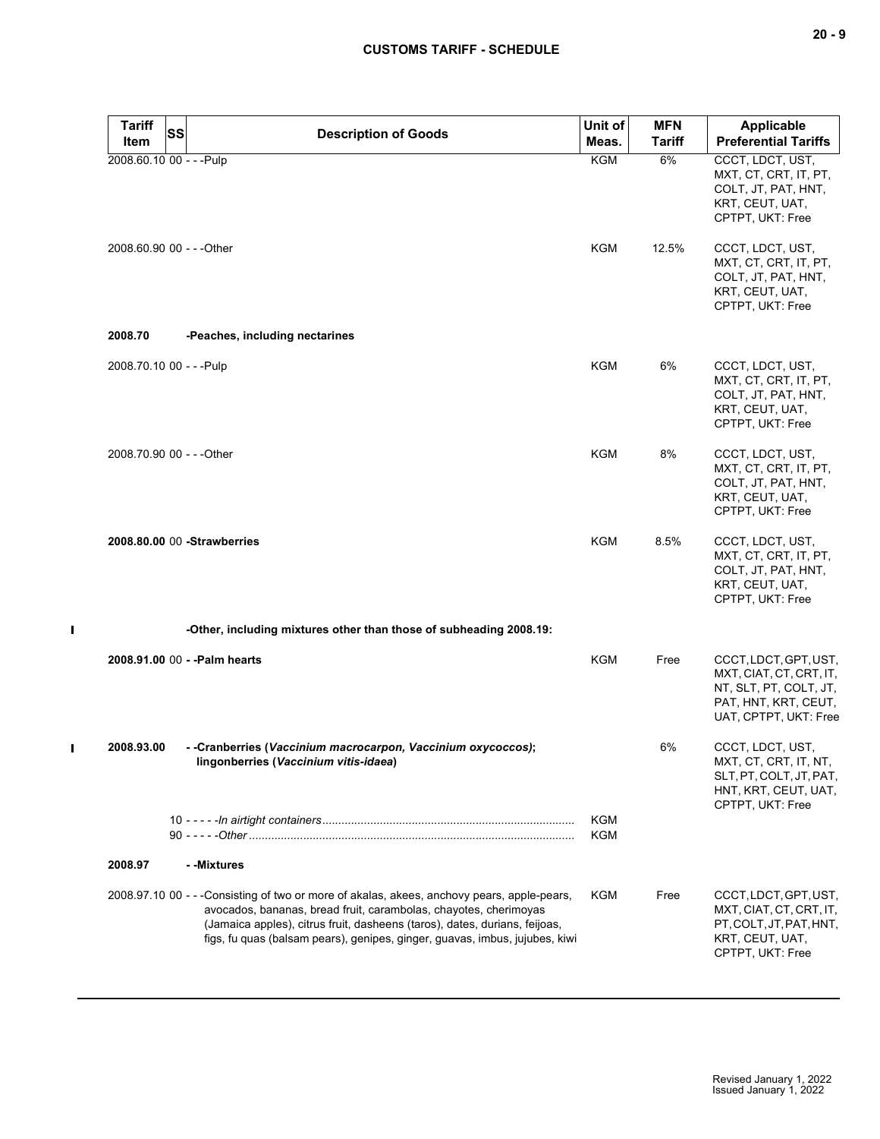| <b>Tariff</b> | <b>SS</b><br><b>Description of Goods</b>                                                                                                                                                                                                                                                                                    | Unit of           | <b>MFN</b>    | <b>Applicable</b>                                                                                                           |
|---------------|-----------------------------------------------------------------------------------------------------------------------------------------------------------------------------------------------------------------------------------------------------------------------------------------------------------------------------|-------------------|---------------|-----------------------------------------------------------------------------------------------------------------------------|
| Item          |                                                                                                                                                                                                                                                                                                                             | Meas.             | <b>Tariff</b> | <b>Preferential Tariffs</b>                                                                                                 |
|               | 2008.60.10 00 - - - Pulp                                                                                                                                                                                                                                                                                                    | <b>KGM</b>        | 6%            | CCCT, LDCT, UST,<br>MXT, CT, CRT, IT, PT,<br>COLT, JT, PAT, HNT,<br>KRT, CEUT, UAT,<br>CPTPT, UKT: Free                     |
|               | 2008.60.90 00 - - - Other                                                                                                                                                                                                                                                                                                   | KGM               | 12.5%         | CCCT, LDCT, UST,<br>MXT, CT, CRT, IT, PT,<br>COLT, JT, PAT, HNT,<br>KRT, CEUT, UAT,<br>CPTPT, UKT: Free                     |
| 2008.70       | -Peaches, including nectarines                                                                                                                                                                                                                                                                                              |                   |               |                                                                                                                             |
|               | 2008.70.10 00 - - - Pulp                                                                                                                                                                                                                                                                                                    | KGM               | 6%            | CCCT, LDCT, UST,<br>MXT, CT, CRT, IT, PT,<br>COLT, JT, PAT, HNT,<br>KRT, CEUT, UAT,<br>CPTPT, UKT: Free                     |
|               | 2008.70.90 00 - - - Other                                                                                                                                                                                                                                                                                                   | KGM               | 8%            | CCCT, LDCT, UST,<br>MXT, CT, CRT, IT, PT,<br>COLT, JT, PAT, HNT,<br>KRT, CEUT, UAT,<br>CPTPT, UKT: Free                     |
|               | 2008.80.00 00 - Strawberries                                                                                                                                                                                                                                                                                                | KGM               | 8.5%          | CCCT, LDCT, UST,<br>MXT, CT, CRT, IT, PT,<br>COLT, JT, PAT, HNT,<br>KRT, CEUT, UAT,<br>CPTPT, UKT: Free                     |
|               | -Other, including mixtures other than those of subheading 2008.19:                                                                                                                                                                                                                                                          |                   |               |                                                                                                                             |
|               | 2008.91.00 00 - - Palm hearts                                                                                                                                                                                                                                                                                               | KGM               | Free          | CCCT, LDCT, GPT, UST,<br>MXT, CIAT, CT, CRT, IT,<br>NT, SLT, PT, COLT, JT,<br>PAT, HNT, KRT, CEUT,<br>UAT, CPTPT, UKT: Free |
| 2008.93.00    | - -Cranberries (Vaccinium macrocarpon, Vaccinium oxycoccos);<br>lingonberries (Vaccinium vitis-idaea)                                                                                                                                                                                                                       |                   | 6%            | CCCT, LDCT, UST,<br>MXT, CT, CRT, IT, NT,<br>SLT, PT, COLT, JT, PAT,<br>HNT, KRT, CEUT, UAT,<br>CPTPT, UKT: Free            |
|               |                                                                                                                                                                                                                                                                                                                             | <b>KGM</b><br>KGM |               |                                                                                                                             |
| 2008.97       | - -Mixtures                                                                                                                                                                                                                                                                                                                 |                   |               |                                                                                                                             |
|               | 2008.97.10 00 - - -Consisting of two or more of akalas, akees, anchovy pears, apple-pears,<br>avocados, bananas, bread fruit, carambolas, chayotes, cherimoyas<br>(Jamaica apples), citrus fruit, dasheens (taros), dates, durians, feijoas,<br>figs, fu quas (balsam pears), genipes, ginger, guavas, imbus, jujubes, kiwi | KGM               | Free          | CCCT, LDCT, GPT, UST,<br>MXT, CIAT, CT, CRT, IT,<br>PT, COLT, JT, PAT, HNT,<br>KRT, CEUT, UAT,<br>CPTPT, UKT: Free          |

 $\blacksquare$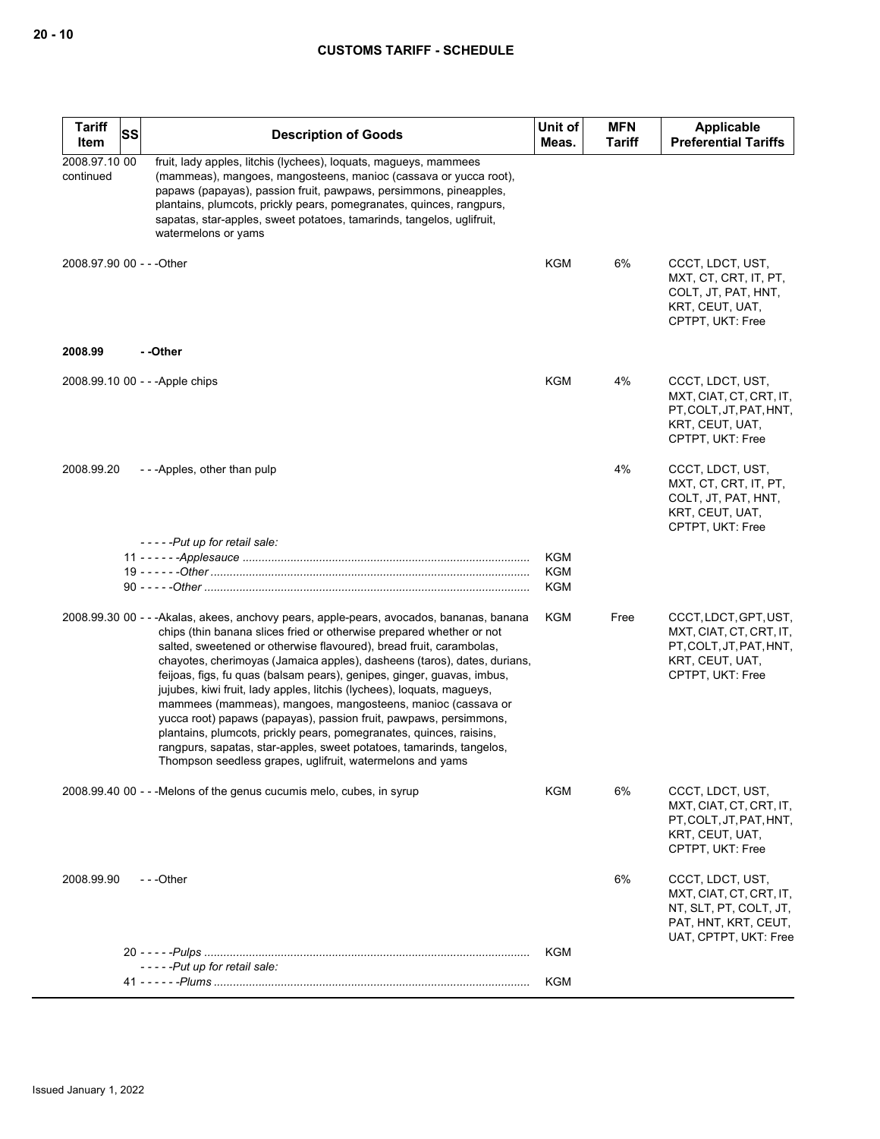| <b>Tariff</b><br>Item      | <b>SS</b> | <b>Description of Goods</b>                                                                                                                                                                                                                                                                                                                                                                                                                                                                                                                                                                                                                                                                                                                                                                                             | Unit of<br>Meas.  | <b>MFN</b><br><b>Tariff</b> | <b>Applicable</b><br><b>Preferential Tariffs</b>                                                                       |
|----------------------------|-----------|-------------------------------------------------------------------------------------------------------------------------------------------------------------------------------------------------------------------------------------------------------------------------------------------------------------------------------------------------------------------------------------------------------------------------------------------------------------------------------------------------------------------------------------------------------------------------------------------------------------------------------------------------------------------------------------------------------------------------------------------------------------------------------------------------------------------------|-------------------|-----------------------------|------------------------------------------------------------------------------------------------------------------------|
| 2008.97.10 00<br>continued |           | fruit, lady apples, litchis (lychees), loquats, magueys, mammees<br>(mammeas), mangoes, mangosteens, manioc (cassava or yucca root),<br>papaws (papayas), passion fruit, pawpaws, persimmons, pineapples,<br>plantains, plumcots, prickly pears, pomegranates, quinces, rangpurs,<br>sapatas, star-apples, sweet potatoes, tamarinds, tangelos, uglifruit,<br>watermelons or yams                                                                                                                                                                                                                                                                                                                                                                                                                                       |                   |                             |                                                                                                                        |
| 2008.97.90 00 - - - Other  |           |                                                                                                                                                                                                                                                                                                                                                                                                                                                                                                                                                                                                                                                                                                                                                                                                                         | KGM               | 6%                          | CCCT, LDCT, UST,<br>MXT, CT, CRT, IT, PT,<br>COLT, JT, PAT, HNT,<br>KRT, CEUT, UAT,<br>CPTPT, UKT: Free                |
| 2008.99                    |           | - -Other                                                                                                                                                                                                                                                                                                                                                                                                                                                                                                                                                                                                                                                                                                                                                                                                                |                   |                             |                                                                                                                        |
|                            |           | 2008.99.10 00 - - - Apple chips                                                                                                                                                                                                                                                                                                                                                                                                                                                                                                                                                                                                                                                                                                                                                                                         | KGM               | 4%                          | CCCT, LDCT, UST,<br>MXT, CIAT, CT, CRT, IT,<br>PT, COLT, JT, PAT, HNT,<br>KRT, CEUT, UAT,<br>CPTPT, UKT: Free          |
| 2008.99.20                 |           | ---Apples, other than pulp                                                                                                                                                                                                                                                                                                                                                                                                                                                                                                                                                                                                                                                                                                                                                                                              |                   | 4%                          | CCCT, LDCT, UST,<br>MXT, CT, CRT, IT, PT,<br>COLT, JT, PAT, HNT,<br>KRT, CEUT, UAT,<br>CPTPT, UKT: Free                |
|                            |           | -----Put up for retail sale:                                                                                                                                                                                                                                                                                                                                                                                                                                                                                                                                                                                                                                                                                                                                                                                            |                   |                             |                                                                                                                        |
|                            |           |                                                                                                                                                                                                                                                                                                                                                                                                                                                                                                                                                                                                                                                                                                                                                                                                                         | <b>KGM</b><br>KGM |                             |                                                                                                                        |
|                            |           |                                                                                                                                                                                                                                                                                                                                                                                                                                                                                                                                                                                                                                                                                                                                                                                                                         | <b>KGM</b>        |                             |                                                                                                                        |
|                            |           | 2008.99.30 00 - - - Akalas, akees, anchovy pears, apple-pears, avocados, bananas, banana<br>chips (thin banana slices fried or otherwise prepared whether or not<br>salted, sweetened or otherwise flavoured), bread fruit, carambolas,<br>chayotes, cherimoyas (Jamaica apples), dasheens (taros), dates, durians,<br>feijoas, figs, fu quas (balsam pears), genipes, ginger, guavas, imbus,<br>jujubes, kiwi fruit, lady apples, litchis (lychees), loquats, magueys,<br>mammees (mammeas), mangoes, mangosteens, manioc (cassava or<br>yucca root) papaws (papayas), passion fruit, pawpaws, persimmons,<br>plantains, plumcots, prickly pears, pomegranates, quinces, raisins,<br>rangpurs, sapatas, star-apples, sweet potatoes, tamarinds, tangelos,<br>Thompson seedless grapes, uglifruit, watermelons and yams | KGM               | Free                        | CCCT, LDCT, GPT, UST,<br>MXT, CIAT, CT, CRT, IT,<br>PT, COLT, JT, PAT, HNT,<br>KRT, CEUT, UAT,<br>CPTPT, UKT: Free     |
|                            |           | 2008.99.40 00 - - - Melons of the genus cucumis melo, cubes, in syrup                                                                                                                                                                                                                                                                                                                                                                                                                                                                                                                                                                                                                                                                                                                                                   | KGM               | 6%                          | CCCT, LDCT, UST,<br>MXT, CIAT, CT, CRT, IT,<br>PT.COLT.JT.PAT.HNT.<br>KRT, CEUT, UAT,<br>CPTPT, UKT: Free              |
| 2008.99.90                 |           | $- -$ Other                                                                                                                                                                                                                                                                                                                                                                                                                                                                                                                                                                                                                                                                                                                                                                                                             |                   | 6%                          | CCCT, LDCT, UST,<br>MXT, CIAT, CT, CRT, IT,<br>NT, SLT, PT, COLT, JT,<br>PAT, HNT, KRT, CEUT,<br>UAT, CPTPT, UKT: Free |
|                            |           |                                                                                                                                                                                                                                                                                                                                                                                                                                                                                                                                                                                                                                                                                                                                                                                                                         | KGM               |                             |                                                                                                                        |
|                            |           | -----Put up for retail sale:                                                                                                                                                                                                                                                                                                                                                                                                                                                                                                                                                                                                                                                                                                                                                                                            | KGM               |                             |                                                                                                                        |
|                            |           |                                                                                                                                                                                                                                                                                                                                                                                                                                                                                                                                                                                                                                                                                                                                                                                                                         |                   |                             |                                                                                                                        |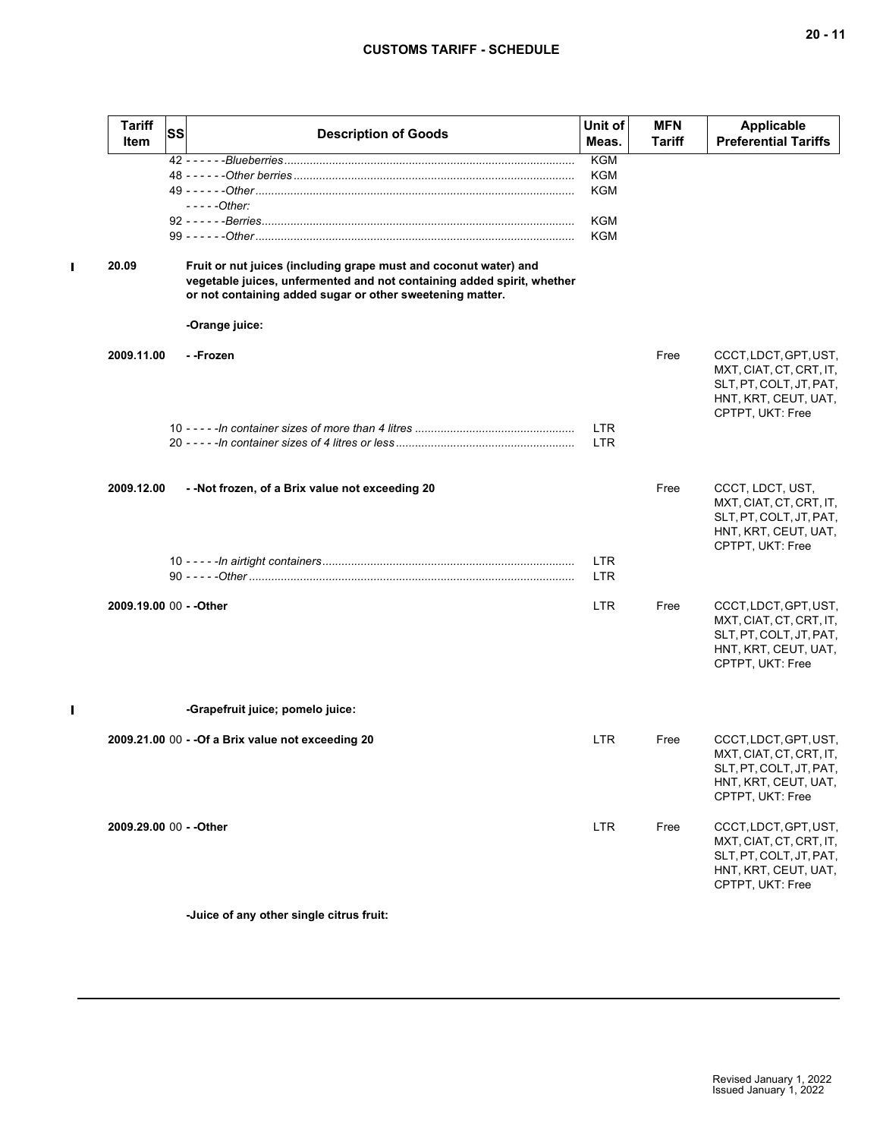# **CUSTOMS TARIFF - SCHEDULE**

| <b>Tariff</b><br>Item   | <b>SS</b> | <b>Description of Goods</b>                                                                                                                                                                             | Unit of<br>Meas.         | <b>MFN</b><br><b>Tariff</b> | <b>Applicable</b><br><b>Preferential Tariffs</b>                                                                        |
|-------------------------|-----------|---------------------------------------------------------------------------------------------------------------------------------------------------------------------------------------------------------|--------------------------|-----------------------------|-------------------------------------------------------------------------------------------------------------------------|
|                         |           |                                                                                                                                                                                                         | <b>KGM</b>               |                             |                                                                                                                         |
|                         |           |                                                                                                                                                                                                         | KGM                      |                             |                                                                                                                         |
|                         |           |                                                                                                                                                                                                         | KGM                      |                             |                                                                                                                         |
|                         |           | $---Other:$                                                                                                                                                                                             | <b>KGM</b>               |                             |                                                                                                                         |
|                         |           |                                                                                                                                                                                                         | <b>KGM</b>               |                             |                                                                                                                         |
|                         |           |                                                                                                                                                                                                         |                          |                             |                                                                                                                         |
| 20.09                   |           | Fruit or nut juices (including grape must and coconut water) and<br>vegetable juices, unfermented and not containing added spirit, whether<br>or not containing added sugar or other sweetening matter. |                          |                             |                                                                                                                         |
|                         |           | -Orange juice:                                                                                                                                                                                          |                          |                             |                                                                                                                         |
|                         |           |                                                                                                                                                                                                         |                          |                             |                                                                                                                         |
| 2009.11.00              |           | - -Frozen                                                                                                                                                                                               |                          | Free                        | CCCT, LDCT, GPT, UST,<br>MXT, CIAT, CT, CRT, IT,<br>SLT, PT, COLT, JT, PAT,<br>HNT, KRT, CEUT, UAT,<br>CPTPT, UKT: Free |
|                         |           |                                                                                                                                                                                                         | <b>LTR</b>               |                             |                                                                                                                         |
|                         |           |                                                                                                                                                                                                         | <b>LTR</b>               |                             |                                                                                                                         |
|                         |           |                                                                                                                                                                                                         |                          |                             |                                                                                                                         |
| 2009.12.00              |           | - -Not frozen, of a Brix value not exceeding 20                                                                                                                                                         |                          | Free                        | CCCT, LDCT, UST,<br>MXT, CIAT, CT, CRT, IT,<br>SLT, PT, COLT, JT, PAT,<br>HNT, KRT, CEUT, UAT,<br>CPTPT, UKT: Free      |
|                         |           |                                                                                                                                                                                                         | <b>LTR</b><br><b>LTR</b> |                             |                                                                                                                         |
| 2009.19.00 00 - - Other |           |                                                                                                                                                                                                         | <b>LTR</b>               | Free                        | CCCT, LDCT, GPT, UST,<br>MXT, CIAT, CT, CRT, IT,<br>SLT, PT, COLT, JT, PAT,<br>HNT, KRT, CEUT, UAT,<br>CPTPT, UKT: Free |
|                         |           | -Grapefruit juice; pomelo juice:                                                                                                                                                                        |                          |                             |                                                                                                                         |
|                         |           | 2009.21.00 00 - - Of a Brix value not exceeding 20                                                                                                                                                      | <b>LTR</b>               | Free                        | CCCT, LDCT, GPT, UST,<br>MXT, CIAT, CT, CRT, IT,<br>SLT, PT, COLT, JT, PAT,<br>HNT, KRT, CEUT, UAT,<br>CPTPT, UKT: Free |
| 2009.29.00 00 - - Other |           |                                                                                                                                                                                                         | <b>LTR</b>               | Free                        | CCCT, LDCT, GPT, UST,<br>MXT, CIAT, CT, CRT, IT,<br>SLT, PT, COLT, JT, PAT,<br>HNT, KRT, CEUT, UAT,<br>CPTPT, UKT: Free |
|                         |           |                                                                                                                                                                                                         |                          |                             |                                                                                                                         |

**-Juice of any other single citrus fruit:**

 $\mathbf I$ 

 $\mathbf I$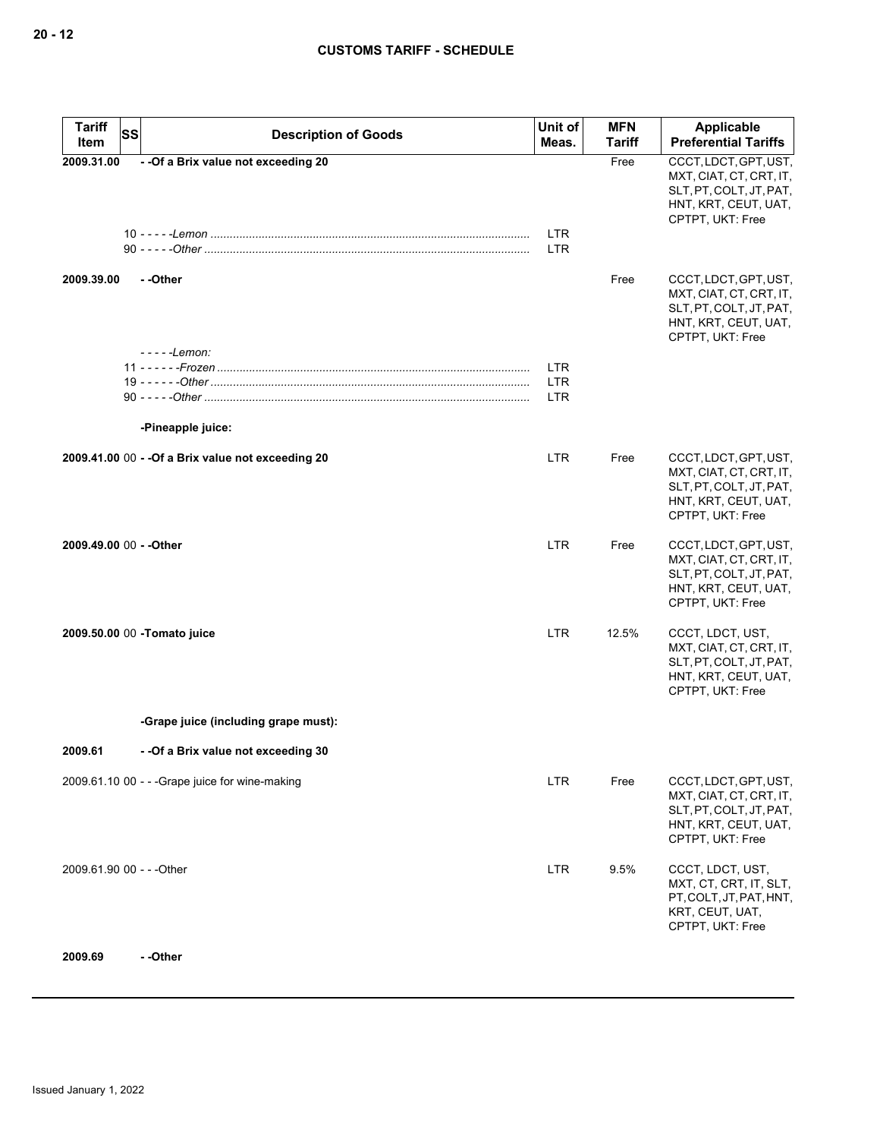| <b>Tariff</b><br><b>SS</b> | <b>Description of Goods</b>                        | Unit of                  | <b>MFN</b>    | <b>Applicable</b>                                                                                                       |
|----------------------------|----------------------------------------------------|--------------------------|---------------|-------------------------------------------------------------------------------------------------------------------------|
| Item                       |                                                    | Meas.                    | <b>Tariff</b> | <b>Preferential Tariffs</b>                                                                                             |
| 2009.31.00                 | - - Of a Brix value not exceeding 20               | <b>LTR</b><br><b>LTR</b> | Free          | CCCT, LDCT, GPT, UST,<br>MXT, CIAT, CT, CRT, IT,<br>SLT, PT, COLT, JT, PAT,<br>HNT, KRT, CEUT, UAT,<br>CPTPT, UKT: Free |
| 2009.39.00                 | - -Other<br>- - - - - Lemon:                       |                          | Free          | CCCT, LDCT, GPT, UST,<br>MXT, CIAT, CT, CRT, IT,<br>SLT, PT, COLT, JT, PAT,<br>HNT, KRT, CEUT, UAT,<br>CPTPT, UKT: Free |
|                            |                                                    | <b>LTR</b>               |               |                                                                                                                         |
|                            |                                                    | <b>LTR</b>               |               |                                                                                                                         |
|                            |                                                    | <b>LTR</b>               |               |                                                                                                                         |
|                            | -Pineapple juice:                                  |                          |               |                                                                                                                         |
|                            | 2009.41.00 00 - - Of a Brix value not exceeding 20 | <b>LTR</b>               | Free          | CCCT, LDCT, GPT, UST,<br>MXT, CIAT, CT, CRT, IT,<br>SLT, PT, COLT, JT, PAT,<br>HNT, KRT, CEUT, UAT,<br>CPTPT, UKT: Free |
| 2009.49.00 00 - - Other    |                                                    | LTR.                     | Free          | CCCT, LDCT, GPT, UST,<br>MXT, CIAT, CT, CRT, IT,<br>SLT, PT, COLT, JT, PAT,<br>HNT, KRT, CEUT, UAT,<br>CPTPT, UKT: Free |
|                            | 2009.50.00 00 -Tomato juice                        | <b>LTR</b>               | 12.5%         | CCCT, LDCT, UST,<br>MXT, CIAT, CT, CRT, IT,<br>SLT, PT, COLT, JT, PAT,<br>HNT, KRT, CEUT, UAT,<br>CPTPT, UKT: Free      |
|                            | -Grape juice (including grape must):               |                          |               |                                                                                                                         |
| 2009.61                    | - - Of a Brix value not exceeding 30               |                          |               |                                                                                                                         |
|                            | $2009.61.100$ - - -Grape juice for wine-making     | <b>LTR</b>               | Free          | CCCT, LDCT, GPT, UST,<br>MXT, CIAT, CT, CRT, IT,<br>SLT, PT, COLT, JT, PAT,<br>HNT, KRT, CEUT, UAT,<br>CPTPT, UKT: Free |
| 2009.61.90 00 - - - Other  |                                                    | <b>LTR</b>               | 9.5%          | CCCT, LDCT, UST,<br>MXT, CT, CRT, IT, SLT,<br>PT, COLT, JT, PAT, HNT,<br>KRT, CEUT, UAT,<br>CPTPT, UKT: Free            |
| 2009.69                    | --Other                                            |                          |               |                                                                                                                         |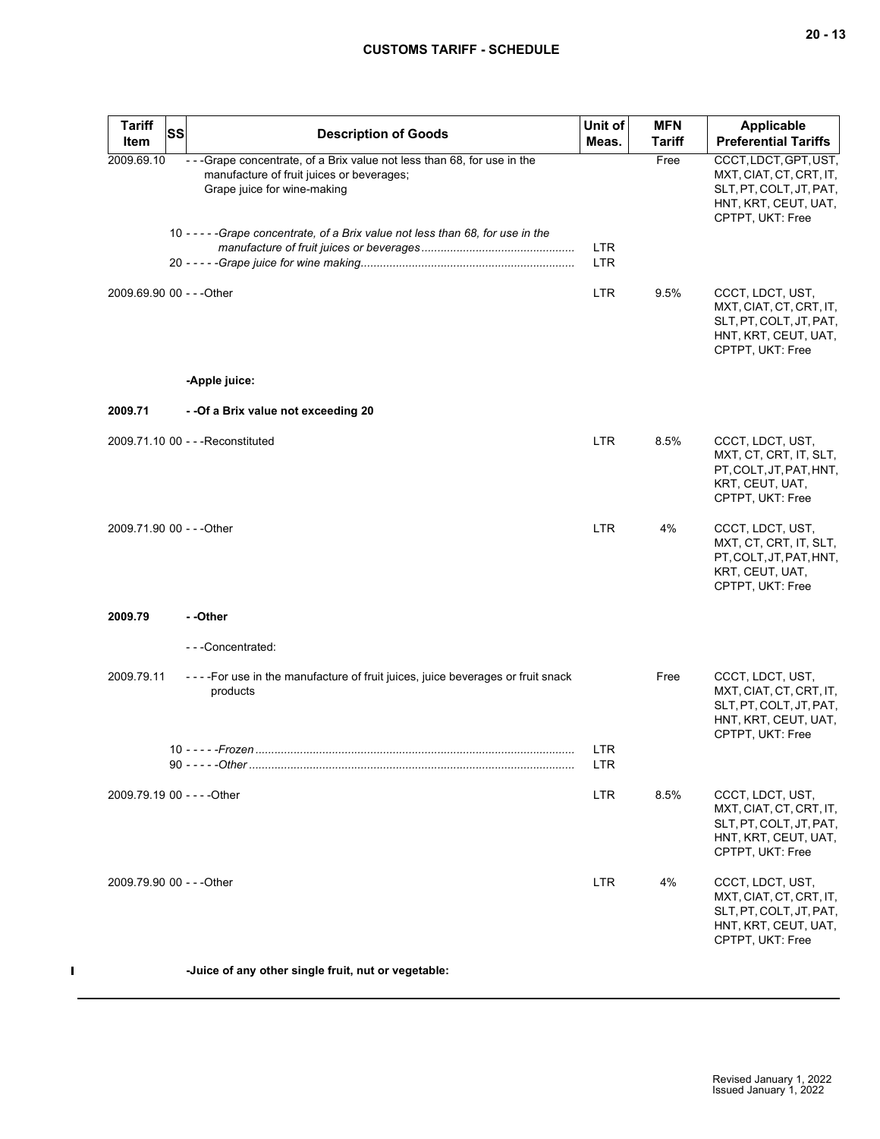| <b>Tariff</b><br><b>SS</b><br>Item | <b>Description of Goods</b>                                                                                                                           | Unit of<br>Meas.         | <b>MFN</b><br><b>Tariff</b> | <b>Applicable</b><br><b>Preferential Tariffs</b>                                                                        |
|------------------------------------|-------------------------------------------------------------------------------------------------------------------------------------------------------|--------------------------|-----------------------------|-------------------------------------------------------------------------------------------------------------------------|
| 2009.69.10                         | - - - Grape concentrate, of a Brix value not less than 68, for use in the<br>manufacture of fruit juices or beverages;<br>Grape juice for wine-making |                          | Free                        | CCCT, LDCT, GPT, UST,<br>MXT, CIAT, CT, CRT, IT,<br>SLT, PT, COLT, JT, PAT,<br>HNT, KRT, CEUT, UAT,<br>CPTPT, UKT: Free |
|                                    | 10 - - - - - Grape concentrate, of a Brix value not less than 68, for use in the                                                                      | <b>LTR</b><br><b>LTR</b> |                             |                                                                                                                         |
| 2009.69.90 00 - - - Other          |                                                                                                                                                       | <b>LTR</b>               | 9.5%                        | CCCT, LDCT, UST,<br>MXT, CIAT, CT, CRT, IT,<br>SLT, PT, COLT, JT, PAT,<br>HNT, KRT, CEUT, UAT,<br>CPTPT, UKT: Free      |
|                                    | -Apple juice:                                                                                                                                         |                          |                             |                                                                                                                         |
| 2009.71                            | - - Of a Brix value not exceeding 20                                                                                                                  |                          |                             |                                                                                                                         |
|                                    | 2009.71.10 00 - - - Reconstituted                                                                                                                     | <b>LTR</b>               | 8.5%                        | CCCT, LDCT, UST,<br>MXT, CT, CRT, IT, SLT,<br>PT, COLT, JT, PAT, HNT,<br>KRT, CEUT, UAT,<br>CPTPT, UKT: Free            |
| 2009.71.90 00 - - - Other          |                                                                                                                                                       | <b>LTR</b>               | 4%                          | CCCT, LDCT, UST,<br>MXT, CT, CRT, IT, SLT,<br>PT, COLT, JT, PAT, HNT,<br>KRT, CEUT, UAT,<br>CPTPT, UKT: Free            |
| 2009.79                            | - -Other                                                                                                                                              |                          |                             |                                                                                                                         |
|                                    | ---Concentrated:                                                                                                                                      |                          |                             |                                                                                                                         |
| 2009.79.11                         | - - - - For use in the manufacture of fruit juices, juice beverages or fruit snack<br>products                                                        |                          | Free                        | CCCT, LDCT, UST,<br>MXT, CIAT, CT, CRT, IT,<br>SLT, PT, COLT, JT, PAT,<br>HNT, KRT, CEUT, UAT,<br>CPTPT, UKT: Free      |
|                                    |                                                                                                                                                       | <b>LTR</b><br>LIR.       |                             |                                                                                                                         |
| 2009.79.19 00 - - - - Other        |                                                                                                                                                       | <b>LTR</b>               | 8.5%                        | CCCT, LDCT, UST,<br>MXT, CIAT, CT, CRT, IT,<br>SLT, PT, COLT, JT, PAT,<br>HNT, KRT, CEUT, UAT,<br>CPTPT, UKT: Free      |
| 2009.79.90 00 - - -Other           |                                                                                                                                                       | <b>LTR</b>               | 4%                          | CCCT, LDCT, UST,<br>MXT, CIAT, CT, CRT, IT,<br>SLT, PT, COLT, JT, PAT,<br>HNT, KRT, CEUT, UAT,<br>CPTPT, UKT: Free      |
|                                    | -Juice of any other single fruit, nut or vegetable:                                                                                                   |                          |                             |                                                                                                                         |